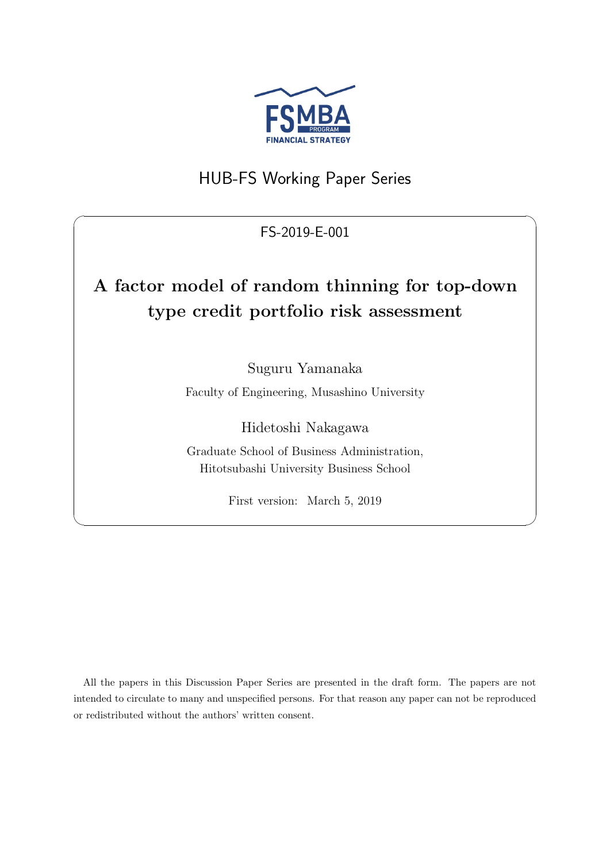

# HUB-FS Working Paper Series

## FS-2019-E-001

 $\sqrt{2\pi}$ 

# **A factor model of random thinning for top-down type credit portfolio risk assessment**

Suguru Yamanaka

Faculty of Engineering, Musashino University

Hidetoshi Nakagawa

Graduate School of Business Administration, Hitotsubashi University Business School

First version: March 5, 2019

✒ ✑

All the papers in this Discussion Paper Series are presented in the draft form. The papers are not intended to circulate to many and unspecified persons. For that reason any paper can not be reproduced or redistributed without the authors' written consent.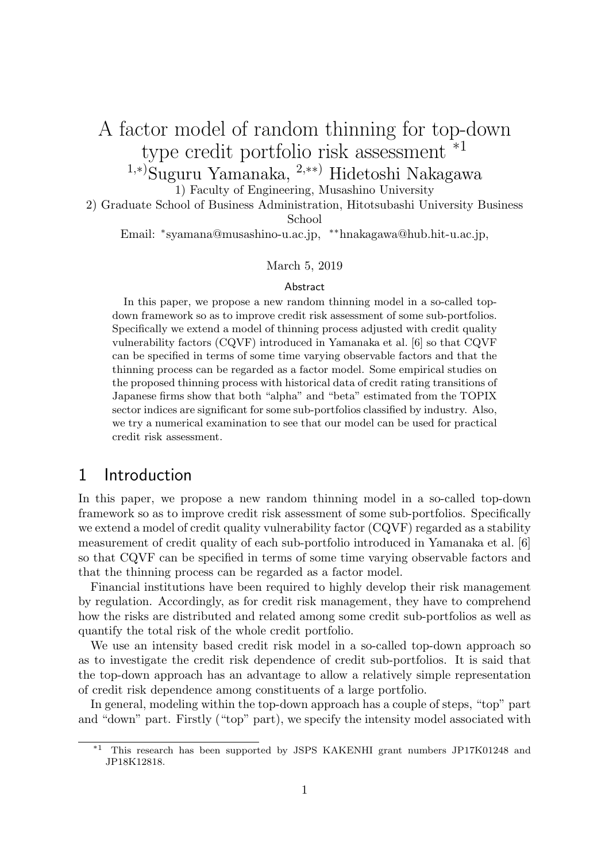# A factor model of random thinning for top-down type credit portfolio risk assessment \*1

1*,∗*) Suguru Yamanaka, <sup>2</sup>*,∗∗*) Hidetoshi Nakagawa

1) Faculty of Engineering, Musashino University

2) Graduate School of Business Administration, Hitotsubashi University Business School

Email: *<sup>∗</sup>* syamana@musashino-u.ac.jp, *∗∗*hnakagawa@hub.hit-u.ac.jp,

#### March 5, 2019

#### Abstract

In this paper, we propose a new random thinning model in a so-called topdown framework so as to improve credit risk assessment of some sub-portfolios. Specifically we extend a model of thinning process adjusted with credit quality vulnerability factors (CQVF) introduced in Yamanaka et al. [6] so that CQVF can be specified in terms of some time varying observable factors and that the thinning process can be regarded as a factor model. Some empirical studies on the proposed thinning process with historical data of credit rating transitions of Japanese firms show that both "alpha" and "beta" estimated from the TOPIX sector indices are significant for some sub-portfolios classified by industry. Also, we try a numerical examination to see that our model can be used for practical credit risk assessment.

### 1 Introduction

In this paper, we propose a new random thinning model in a so-called top-down framework so as to improve credit risk assessment of some sub-portfolios. Specifically we extend a model of credit quality vulnerability factor (CQVF) regarded as a stability measurement of credit quality of each sub-portfolio introduced in Yamanaka et al. [6] so that CQVF can be specified in terms of some time varying observable factors and that the thinning process can be regarded as a factor model.

Financial institutions have been required to highly develop their risk management by regulation. Accordingly, as for credit risk management, they have to comprehend how the risks are distributed and related among some credit sub-portfolios as well as quantify the total risk of the whole credit portfolio.

We use an intensity based credit risk model in a so-called top-down approach so as to investigate the credit risk dependence of credit sub-portfolios. It is said that the top-down approach has an advantage to allow a relatively simple representation of credit risk dependence among constituents of a large portfolio.

In general, modeling within the top-down approach has a couple of steps, "top" part and "down" part. Firstly ("top" part), we specify the intensity model associated with

<sup>\*1</sup> This research has been supported by JSPS KAKENHI grant numbers JP17K01248 and JP18K12818.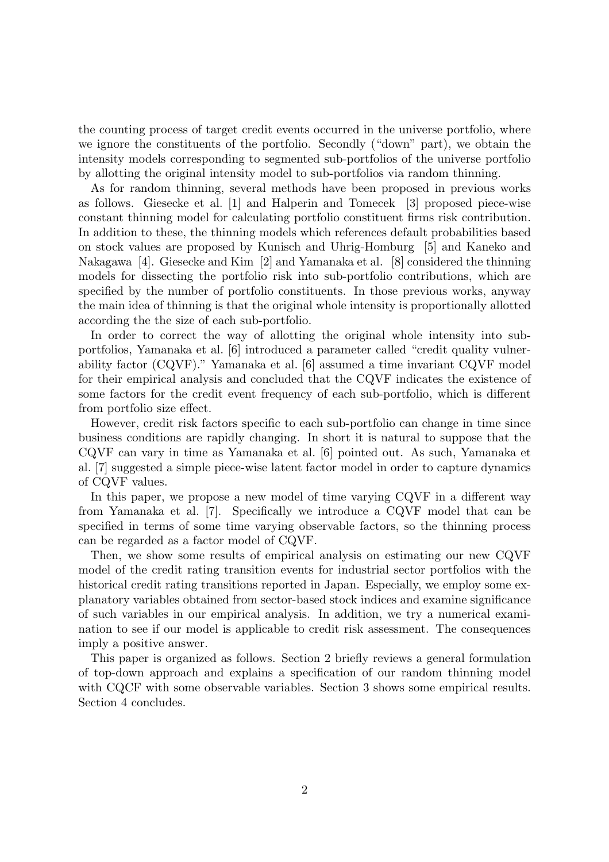the counting process of target credit events occurred in the universe portfolio, where we ignore the constituents of the portfolio. Secondly ("down" part), we obtain the intensity models corresponding to segmented sub-portfolios of the universe portfolio by allotting the original intensity model to sub-portfolios via random thinning.

As for random thinning, several methods have been proposed in previous works as follows. Giesecke et al. [1] and Halperin and Tomecek [3] proposed piece-wise constant thinning model for calculating portfolio constituent firms risk contribution. In addition to these, the thinning models which references default probabilities based on stock values are proposed by Kunisch and Uhrig-Homburg [5] and Kaneko and Nakagawa [4]. Giesecke and Kim [2] and Yamanaka et al. [8] considered the thinning models for dissecting the portfolio risk into sub-portfolio contributions, which are specified by the number of portfolio constituents. In those previous works, anyway the main idea of thinning is that the original whole intensity is proportionally allotted according the the size of each sub-portfolio.

In order to correct the way of allotting the original whole intensity into subportfolios, Yamanaka et al. [6] introduced a parameter called "credit quality vulnerability factor (CQVF)." Yamanaka et al. [6] assumed a time invariant CQVF model for their empirical analysis and concluded that the CQVF indicates the existence of some factors for the credit event frequency of each sub-portfolio, which is different from portfolio size effect.

However, credit risk factors specific to each sub-portfolio can change in time since business conditions are rapidly changing. In short it is natural to suppose that the CQVF can vary in time as Yamanaka et al. [6] pointed out. As such, Yamanaka et al. [7] suggested a simple piece-wise latent factor model in order to capture dynamics of CQVF values.

In this paper, we propose a new model of time varying CQVF in a different way from Yamanaka et al. [7]. Specifically we introduce a CQVF model that can be specified in terms of some time varying observable factors, so the thinning process can be regarded as a factor model of CQVF.

Then, we show some results of empirical analysis on estimating our new CQVF model of the credit rating transition events for industrial sector portfolios with the historical credit rating transitions reported in Japan. Especially, we employ some explanatory variables obtained from sector-based stock indices and examine significance of such variables in our empirical analysis. In addition, we try a numerical examination to see if our model is applicable to credit risk assessment. The consequences imply a positive answer.

This paper is organized as follows. Section 2 briefly reviews a general formulation of top-down approach and explains a specification of our random thinning model with CQCF with some observable variables. Section 3 shows some empirical results. Section 4 concludes.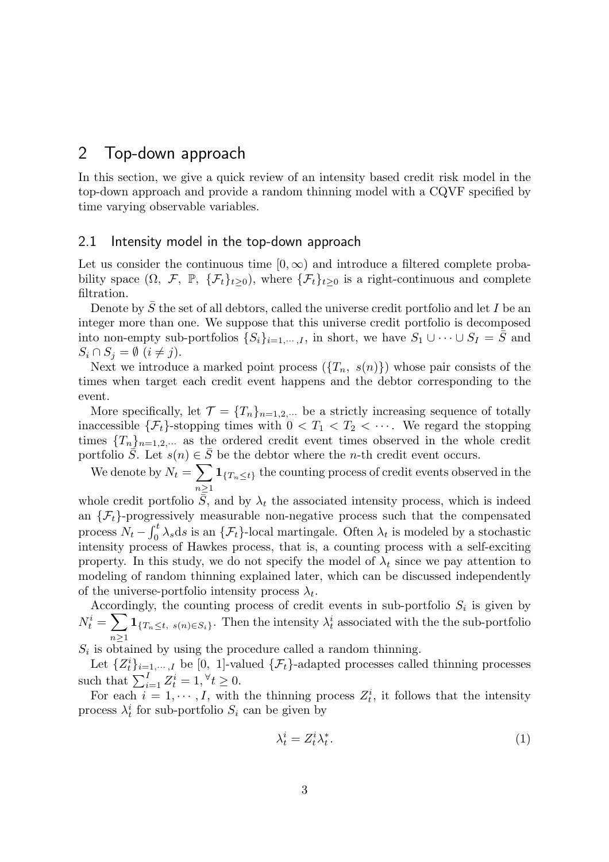## 2 Top-down approach

In this section, we give a quick review of an intensity based credit risk model in the top-down approach and provide a random thinning model with a CQVF specified by time varying observable variables.

#### 2.1 Intensity model in the top-down approach

Let us consider the continuous time  $[0, \infty)$  and introduce a filtered complete probability space  $(\Omega, \mathcal{F}, \mathbb{P}, \{\mathcal{F}_t\}_{t>0})$ , where  $\{\mathcal{F}_t\}_{t>0}$  is a right-continuous and complete filtration.

Denote by *S* the set of all debtors, called the universe credit portfolio and let *I* be an integer more than one. We suppose that this universe credit portfolio is decomposed into non-empty sub-portfolios  $\{S_i\}_{i=1,\cdots,I}$ , in short, we have  $S_1 \cup \cdots \cup S_I = \overline{S}$  and  $S_i \cap S_j = \emptyset$   $(i \neq j)$ .

Next we introduce a marked point process  $({T_n, s(n)})$  whose pair consists of the times when target each credit event happens and the debtor corresponding to the event.

More specifically, let  $\mathcal{T} = \{T_n\}_{n=1,2,\cdots}$  be a strictly increasing sequence of totally inaccessible  $\{\mathcal{F}_t\}$ -stopping times with  $0 < T_1 < T_2 < \cdots$ . We regard the stopping times  ${T_n}_{n=1,2,\cdots}$  as the ordered credit event times observed in the whole credit portfolio  $\overline{S}$ . Let  $s(n) \in \overline{S}$  be the debtor where the *n*-th credit event occurs.

We denote by  $N_t = \sum$ *n≥*1  $\mathbf{1}_{\{T_n \leq t\}}$  the counting process of credit events observed in the

whole credit portfolio  $\bar{S}$ , and by  $\lambda_t$  the associated intensity process, which is indeed an  $\{\mathcal{F}_t\}$ -progressively measurable non-negative process such that the compensated process  $N_t - \int_0^t \lambda_s ds$  is an  $\{\mathcal{F}_t\}$ -local martingale. Often  $\lambda_t$  is modeled by a stochastic intensity process of Hawkes process, that is, a counting process with a self-exciting property. In this study, we do not specify the model of  $\lambda_t$  since we pay attention to modeling of random thinning explained later, which can be discussed independently of the universe-portfolio intensity process  $\lambda_t$ .

Accordingly, the counting process of credit events in sub-portfolio  $S_i$  is given by  $N_t^i = \sum$ *n≥*1  $\mathbf{1}_{\{T_n \leq t, s(n) \in S_i\}}$ . Then the intensity  $\lambda_t^i$  associated with the the sub-portfolio

 $S_i$  is obtained by using the procedure called a random thinning.

Let  $\{Z_t^i\}_{i=1,\dots,I}$  be [0, 1]-valued  $\{\mathcal{F}_t\}$ -adapted processes called thinning processes such that  $\sum_{i=1}^{I} Z_t^i = 1, \forall t \geq 0$ .

For each  $i = 1, \dots, I$ , with the thinning process  $Z_t^i$ , it follows that the intensity process  $\lambda_t^i$  for sub-portfolio  $S_i$  can be given by

$$
\lambda_t^i = Z_t^i \lambda_t^*.
$$
\n<sup>(1)</sup>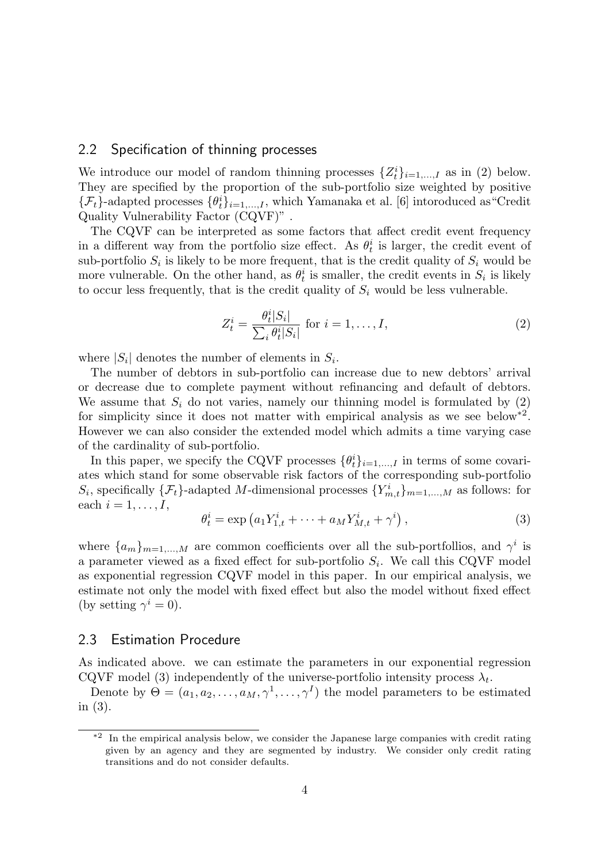#### 2.2 Specification of thinning processes

We introduce our model of random thinning processes  $\{Z_t^i\}_{i=1,\dots,I}$  as in (2) below. They are specified by the proportion of the sub-portfolio size weighted by positive  $\{\mathcal{F}_t\}$ -adapted processes  $\{\theta_t^i\}_{i=1,\dots,I}$ , which Yamanaka et al. [6] intoroduced as "Credit Quality Vulnerability Factor (CQVF)" .

The CQVF can be interpreted as some factors that affect credit event frequency in a different way from the portfolio size effect. As  $\theta_t^i$  is larger, the credit event of sub-portfolio  $S_i$  is likely to be more frequent, that is the credit quality of  $S_i$  would be more vulnerable. On the other hand, as  $\theta_t^i$  is smaller, the credit events in  $S_i$  is likely to occur less frequently, that is the credit quality of  $S_i$  would be less vulnerable.

$$
Z_t^i = \frac{\theta_t^i |S_i|}{\sum_i \theta_t^i |S_i|} \text{ for } i = 1, \dots, I,
$$
\n
$$
(2)
$$

where  $|S_i|$  denotes the number of elements in  $S_i$ .

The number of debtors in sub-portfolio can increase due to new debtors' arrival or decrease due to complete payment without refinancing and default of debtors. We assume that  $S_i$  do not varies, namely our thinning model is formulated by  $(2)$ for simplicity since it does not matter with empirical analysis as we see below<sup>\*2</sup>. However we can also consider the extended model which admits a time varying case of the cardinality of sub-portfolio.

In this paper, we specify the CQVF processes  $\{\theta_t^i\}_{i=1,\ldots,I}$  in terms of some covariates which stand for some observable risk factors of the corresponding sub-portfolio  $S_i$ , specifically  $\{\mathcal{F}_t\}$ -adapted *M*-dimensional processes  $\{Y_{m,t}^i\}_{m=1,\dots,M}$  as follows: for each  $i = 1, \ldots, I$ ,

$$
\theta_t^i = \exp\left(a_1 Y_{1,t}^i + \dots + a_M Y_{M,t}^i + \gamma^i\right),\tag{3}
$$

where  ${a_m}_{m=1,\dots,M}$  are common coefficients over all the sub-portfollios, and  $\gamma^i$  is a parameter viewed as a fixed effect for sub-portfolio *S<sup>i</sup>* . We call this CQVF model as exponential regression CQVF model in this paper. In our empirical analysis, we estimate not only the model with fixed effect but also the model without fixed effect (by setting  $\gamma^i = 0$ ).

#### 2.3 Estimation Procedure

As indicated above. we can estimate the parameters in our exponential regression CQVF model (3) independently of the universe-portfolio intensity process  $\lambda_t$ .

Denote by  $\Theta = (a_1, a_2, \dots, a_M, \gamma^1, \dots, \gamma^I)$  the model parameters to be estimated in (3).

<sup>\*&</sup>lt;sup>2</sup> In the empirical analysis below, we consider the Japanese large companies with credit rating given by an agency and they are segmented by industry. We consider only credit rating transitions and do not consider defaults.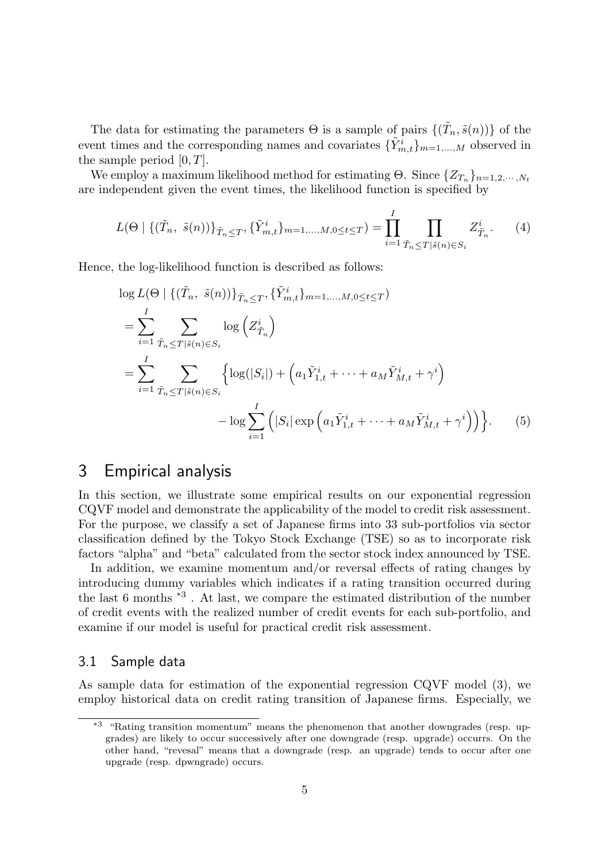The data for estimating the parameters  $\Theta$  is a sample of pairs  $\{(\tilde{T}_n, \tilde{s}(n))\}$  of the event times and the corresponding names and covariates  $\{\tilde{Y}_{m,t}^i\}_{m=1,\dots,M}$  observed in the sample period [0*, T*].

We employ a maximum likelihood method for estimating  $\Theta$ . Since  $\{Z_{T_n}\}_{n=1,2,\cdots,N_t}$ are independent given the event times, the likelihood function is specified by

$$
L(\Theta \mid \{(\tilde{T}_n, \tilde{s}(n))\}_{\tilde{T}_n \leq T}, \{\tilde{Y}_{m,t}^i\}_{m=1,\dots,M,0 \leq t \leq T}) = \prod_{i=1}^I \prod_{\tilde{T}_n \leq T \mid \tilde{s}(n) \in S_i} Z_{\tilde{T}_n}^i.
$$
 (4)

Hence, the log-likelihood function is described as follows:

$$
\log L(\Theta \mid \{(\tilde{T}_n, \tilde{s}(n))\}_{\tilde{T}_n \leq T}, \{\tilde{Y}^i_{m,t}\}_{m=1,...,M,0 \leq t \leq T})
$$
\n
$$
= \sum_{i=1}^I \sum_{\tilde{T}_n \leq T|\tilde{s}(n) \in S_i} \log \left(Z^i_{\tilde{T}_n}\right)
$$
\n
$$
= \sum_{i=1}^I \sum_{\tilde{T}_n \leq T|\tilde{s}(n) \in S_i} \left\{ \log(|S_i|) + \left(a_1 \tilde{Y}^i_{1,t} + \dots + a_M \tilde{Y}^i_{M,t} + \gamma^i\right) - \log \sum_{i=1}^I \left(|S_i| \exp \left(a_1 \tilde{Y}^i_{1,t} + \dots + a_M \tilde{Y}^i_{M,t} + \gamma^i\right)\right) \right\}.
$$
\n(5)

### 3 Empirical analysis

In this section, we illustrate some empirical results on our exponential regression CQVF model and demonstrate the applicability of the model to credit risk assessment. For the purpose, we classify a set of Japanese firms into 33 sub-portfolios via sector classification defined by the Tokyo Stock Exchange (TSE) so as to incorporate risk factors "alpha" and "beta" calculated from the sector stock index announced by TSE.

In addition, we examine momentum and/or reversal effects of rating changes by introducing dummy variables which indicates if a rating transition occurred during the last 6 months \*3 . At last, we compare the estimated distribution of the number of credit events with the realized number of credit events for each sub-portfolio, and examine if our model is useful for practical credit risk assessment.

#### 3.1 Sample data

As sample data for estimation of the exponential regression CQVF model (3), we employ historical data on credit rating transition of Japanese firms. Especially, we

<sup>\*3</sup> "Rating transition momentum" means the phenomenon that another downgrades (resp. upgrades) are likely to occur successively after one downgrade (resp. upgrade) occurrs. On the other hand, "revesal" means that a downgrade (resp. an upgrade) tends to occur after one upgrade (resp. dpwngrade) occurs.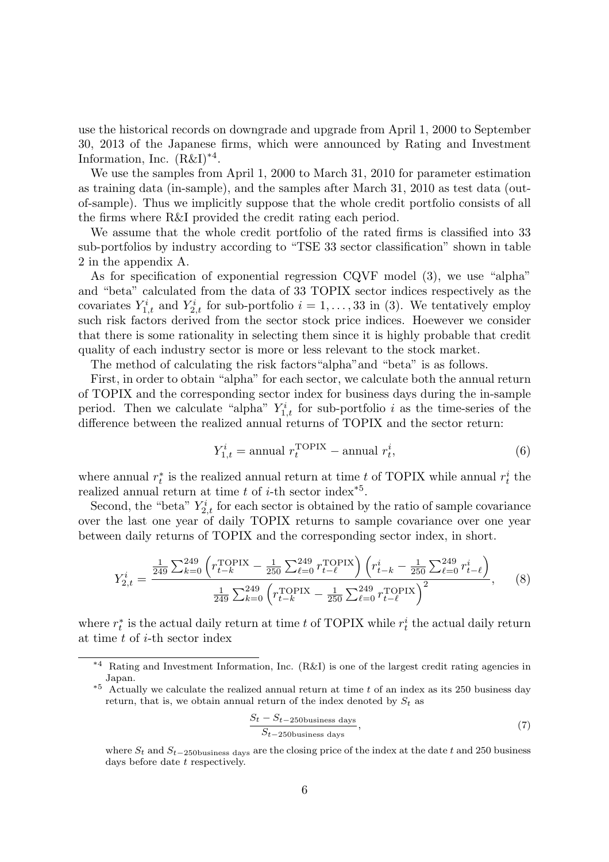use the historical records on downgrade and upgrade from April 1, 2000 to September 30, 2013 of the Japanese firms, which were announced by Rating and Investment Information, Inc.  $(R&I)^{*4}$ .

We use the samples from April 1, 2000 to March 31, 2010 for parameter estimation as training data (in-sample), and the samples after March 31, 2010 as test data (outof-sample). Thus we implicitly suppose that the whole credit portfolio consists of all the firms where R&I provided the credit rating each period.

We assume that the whole credit portfolio of the rated firms is classified into 33 sub-portfolios by industry according to "TSE 33 sector classification" shown in table 2 in the appendix A.

As for specification of exponential regression CQVF model (3), we use "alpha" and "beta" calculated from the data of 33 TOPIX sector indices respectively as the covariates  $Y_{1,t}^i$  and  $Y_{2,t}^i$  for sub-portfolio  $i = 1, \ldots, 33$  in (3). We tentatively employ such risk factors derived from the sector stock price indices. Hoewever we consider that there is some rationality in selecting them since it is highly probable that credit quality of each industry sector is more or less relevant to the stock market.

The method of calculating the risk factors"alpha"and "beta" is as follows.

First, in order to obtain "alpha" for each sector, we calculate both the annual return of TOPIX and the corresponding sector index for business days during the in-sample period. Then we calculate "alpha"  $Y_{1,t}^i$  for sub-portfolio *i* as the time-series of the difference between the realized annual returns of TOPIX and the sector return:

$$
Y_{1,t}^i = \text{annual } r_t^{\text{TOPIX}} - \text{annual } r_t^i,\tag{6}
$$

where annual  $r_t^*$  is the realized annual return at time *t* of TOPIX while annual  $r_t^i$  the realized annual return at time *t* of *i*-th sector index\*5 .

Second, the "beta"  $Y_{2,t}^i$  for each sector is obtained by the ratio of sample covariance over the last one year of daily TOPIX returns to sample covariance over one year between daily returns of TOPIX and the corresponding sector index, in short.

$$
Y_{2,t}^{i} = \frac{\frac{1}{249} \sum_{k=0}^{249} \left( r_{t-k}^{\text{TOPIX}} - \frac{1}{250} \sum_{\ell=0}^{249} r_{t-\ell}^{\text{TOPIX}} \right) \left( r_{t-k}^{i} - \frac{1}{250} \sum_{\ell=0}^{249} r_{t-\ell}^{i} \right)}{\frac{1}{249} \sum_{k=0}^{249} \left( r_{t-k}^{\text{TOPIX}} - \frac{1}{250} \sum_{\ell=0}^{249} r_{t-\ell}^{\text{TOPIX}} \right)^{2}},\tag{8}
$$

where  $r_t^*$  is the actual daily return at time *t* of TOPIX while  $r_t^i$  the actual daily return at time *t* of *i*-th sector index

$$
\frac{S_t - S_{t-250 \text{business days}}}{S_{t-250 \text{business days}}},\tag{7}
$$

<sup>\*4</sup> Rating and Investment Information, Inc. (R&I) is one of the largest credit rating agencies in Japan.

<sup>\*5</sup> Actually we calculate the realized annual return at time *t* of an index as its 250 business day return, that is, we obtain annual return of the index denoted by  $S_t$  as

where *S<sup>t</sup>* and *St−*250business days are the closing price of the index at the date *t* and 250 business days before date *t* respectively.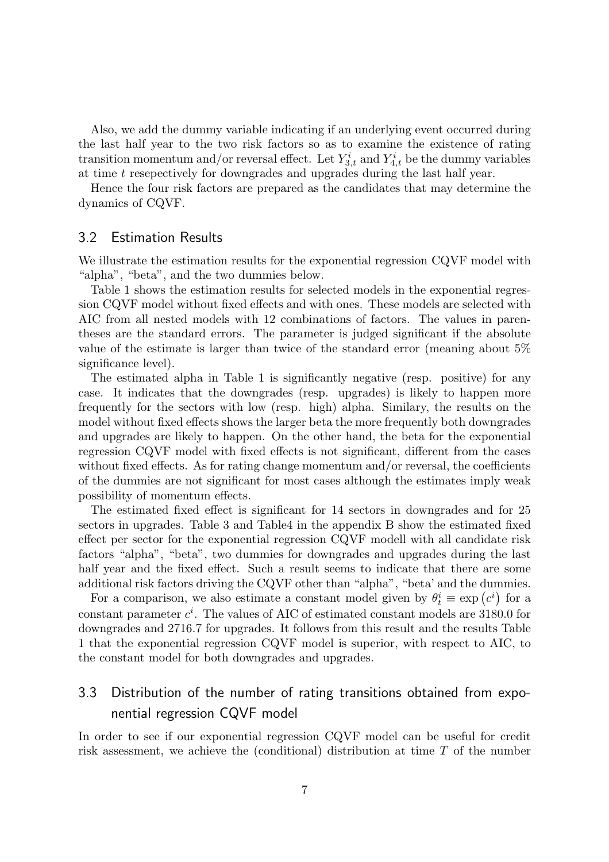Also, we add the dummy variable indicating if an underlying event occurred during the last half year to the two risk factors so as to examine the existence of rating transition momentum and/or reversal effect. Let  $Y_{3,t}^i$  and  $Y_{4,t}^i$  be the dummy variables at time *t* resepectively for downgrades and upgrades during the last half year.

Hence the four risk factors are prepared as the candidates that may determine the dynamics of CQVF.

#### 3.2 Estimation Results

We illustrate the estimation results for the exponential regression CQVF model with "alpha", "beta", and the two dummies below.

Table 1 shows the estimation results for selected models in the exponential regression CQVF model without fixed effects and with ones. These models are selected with AIC from all nested models with 12 combinations of factors. The values in parentheses are the standard errors. The parameter is judged significant if the absolute value of the estimate is larger than twice of the standard error (meaning about 5% significance level).

The estimated alpha in Table 1 is significantly negative (resp. positive) for any case. It indicates that the downgrades (resp. upgrades) is likely to happen more frequently for the sectors with low (resp. high) alpha. Similary, the results on the model without fixed effects shows the larger beta the more frequently both downgrades and upgrades are likely to happen. On the other hand, the beta for the exponential regression CQVF model with fixed effects is not significant, different from the cases without fixed effects. As for rating change momentum and/or reversal, the coefficients of the dummies are not significant for most cases although the estimates imply weak possibility of momentum effects.

The estimated fixed effect is significant for 14 sectors in downgrades and for 25 sectors in upgrades. Table 3 and Table4 in the appendix B show the estimated fixed effect per sector for the exponential regression CQVF modell with all candidate risk factors "alpha", "beta", two dummies for downgrades and upgrades during the last half year and the fixed effect. Such a result seems to indicate that there are some additional risk factors driving the CQVF other than "alpha", "beta' and the dummies.

For a comparison, we also estimate a constant model given by  $\theta_t^i \equiv \exp(c^i)$  for a constant parameter *c i* . The values of AIC of estimated constant models are 3180*.*0 for downgrades and 2716*.*7 for upgrades. It follows from this result and the results Table 1 that the exponential regression CQVF model is superior, with respect to AIC, to the constant model for both downgrades and upgrades.

### 3.3 Distribution of the number of rating transitions obtained from exponential regression CQVF model

In order to see if our exponential regression CQVF model can be useful for credit risk assessment, we achieve the (conditional) distribution at time *T* of the number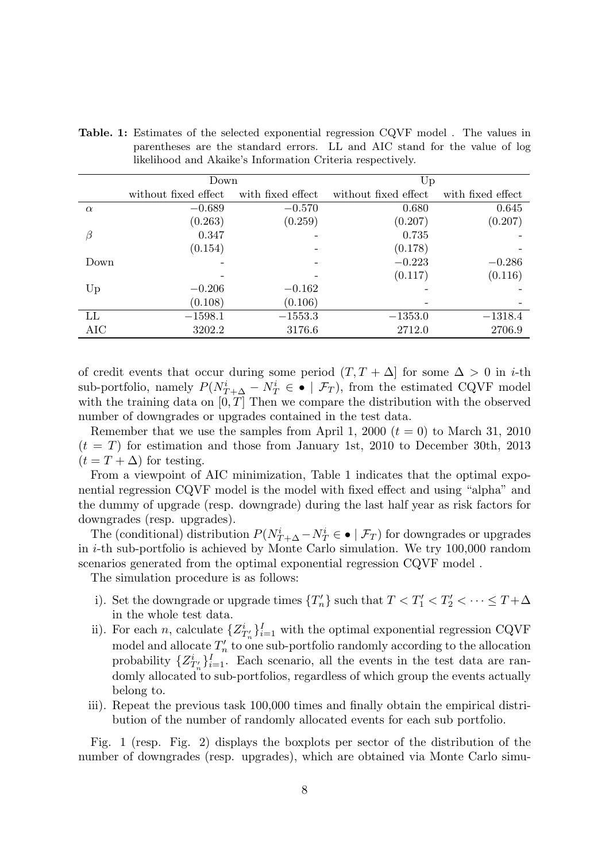|          | Down                 |                   | Up                   |                   |  |
|----------|----------------------|-------------------|----------------------|-------------------|--|
|          | without fixed effect | with fixed effect | without fixed effect | with fixed effect |  |
| $\alpha$ | $-0.689$             | $-0.570$          | 0.680                | 0.645             |  |
|          | (0.263)              | (0.259)           | (0.207)              | (0.207)           |  |
| β        | 0.347                |                   | 0.735                |                   |  |
|          | (0.154)              |                   | (0.178)              |                   |  |
| Down     |                      |                   | $-0.223$             | $-0.286$          |  |
|          |                      |                   | (0.117)              | (0.116)           |  |
| Up       | $-0.206$             | $-0.162$          |                      |                   |  |
|          | (0.108)              | (0.106)           |                      |                   |  |
| LL       | $-1598.1$            | $-1553.3$         | $-1353.0$            | $-1318.4$         |  |
| AIC      | 3202.2               | 3176.6            | 2712.0               | 2706.9            |  |

**Table. 1:** Estimates of the selected exponential regression CQVF model . The values in parentheses are the standard errors. LL and AIC stand for the value of log likelihood and Akaike's Information Criteria respectively.

of credit events that occur during some period  $(T, T + \Delta)$  for some  $\Delta > 0$  in *i*-th sub-portfolio, namely  $P(N_{T+\Delta}^i - N_T^i \in \bullet \mid \mathcal{F}_T)$ , from the estimated CQVF model with the training data on  $[0, T]$  Then we compare the distribution with the observed number of downgrades or upgrades contained in the test data.

Remember that we use the samples from April 1, 2000  $(t = 0)$  to March 31, 2010  $(t = T)$  for estimation and those from January 1st, 2010 to December 30th, 2013  $(t = T + \Delta)$  for testing.

From a viewpoint of AIC minimization, Table 1 indicates that the optimal exponential regression CQVF model is the model with fixed effect and using "alpha" and the dummy of upgrade (resp. downgrade) during the last half year as risk factors for downgrades (resp. upgrades).

The (conditional) distribution  $P(N_{T+\Delta}^i - N_T^i \in \bullet \mid \mathcal{F}_T)$  for downgrades or upgrades in *i*-th sub-portfolio is achieved by Monte Carlo simulation. We try 100,000 random scenarios generated from the optimal exponential regression CQVF model .

The simulation procedure is as follows:

- i). Set the downgrade or upgrade times  ${T'_{n}}$  such that  $T < T'_{1} < T'_{2} < \cdots \le T + \Delta$ in the whole test data.
- ii). For each *n*, calculate  $\{Z_{T'_n}\}_{i=1}^I$  with the optimal exponential regression CQVF model and allocate  $T'_n$  to one sub-portfolio randomly according to the allocation probability  ${Z_{T'_n}^i}_{i=1}$ . Each scenario, all the events in the test data are randomly allocated to sub-portfolios, regardless of which group the events actually belong to.
- iii). Repeat the previous task 100,000 times and finally obtain the empirical distribution of the number of randomly allocated events for each sub portfolio.

Fig. 1 (resp. Fig. 2) displays the boxplots per sector of the distribution of the number of downgrades (resp. upgrades), which are obtained via Monte Carlo simu-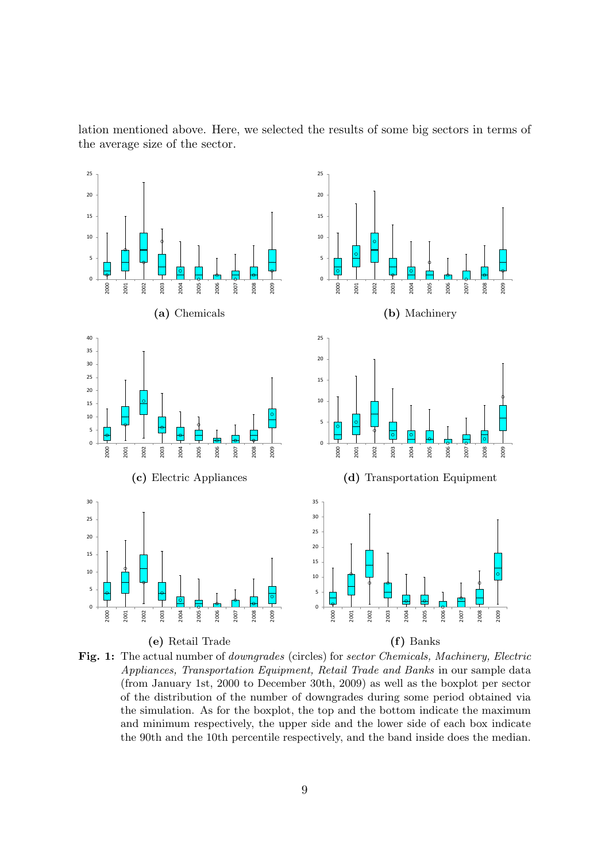

lation mentioned above. Here, we selected the results of some big sectors in terms of the average size of the sector.

**Fig. 1:** The actual number of *downgrades* (circles) for *sector Chemicals, Machinery, Electric Appliances, Transportation Equipment, Retail Trade and Banks* in our sample data (from January 1st, 2000 to December 30th, 2009) as well as the boxplot per sector of the distribution of the number of downgrades during some period obtained via the simulation. As for the boxplot, the top and the bottom indicate the maximum and minimum respectively, the upper side and the lower side of each box indicate the 90th and the 10th percentile respectively, and the band inside does the median.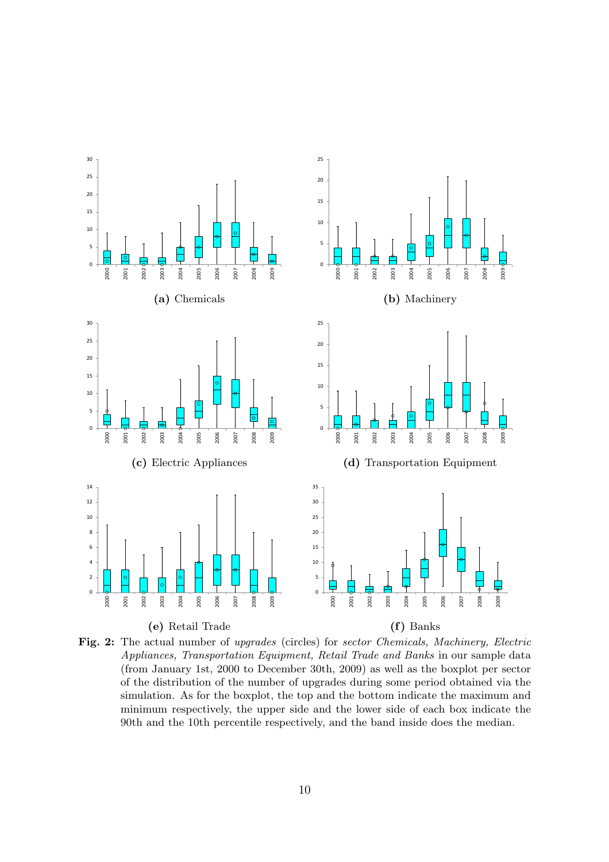

**Fig. 2:** The actual number of *upgrades* (circles) for *sector Chemicals, Machinery, Electric Appliances, Transportation Equipment, Retail Trade and Banks* in our sample data (from January 1st, 2000 to December 30th, 2009) as well as the boxplot per sector of the distribution of the number of upgrades during some period obtained via the simulation. As for the boxplot, the top and the bottom indicate the maximum and minimum respectively, the upper side and the lower side of each box indicate the 90th and the 10th percentile respectively, and the band inside does the median.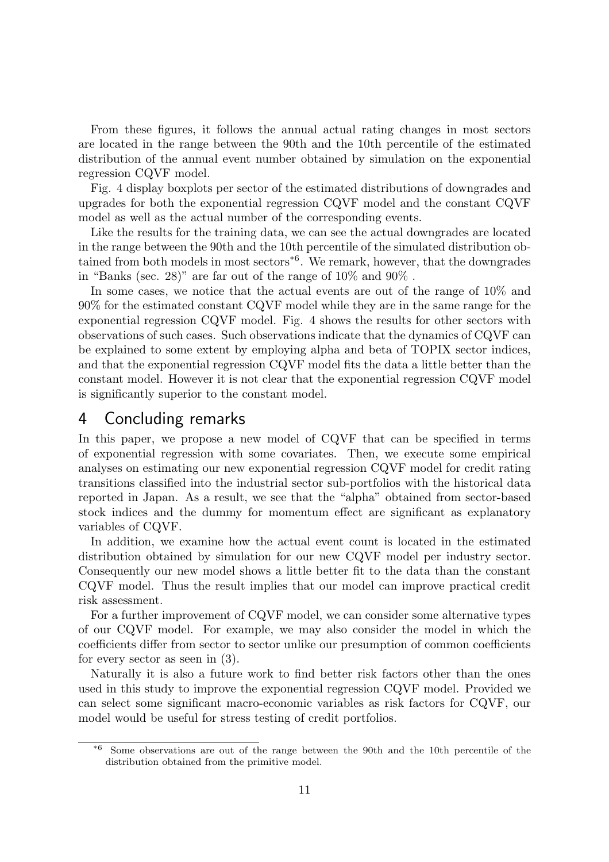From these figures, it follows the annual actual rating changes in most sectors are located in the range between the 90th and the 10th percentile of the estimated distribution of the annual event number obtained by simulation on the exponential regression CQVF model.

Fig. 4 display boxplots per sector of the estimated distributions of downgrades and upgrades for both the exponential regression CQVF model and the constant CQVF model as well as the actual number of the corresponding events.

Like the results for the training data, we can see the actual downgrades are located in the range between the 90th and the 10th percentile of the simulated distribution obtained from both models in most sectors<sup>\*6</sup>. We remark, however, that the downgrades in "Banks (sec. 28)" are far out of the range of 10% and 90% .

In some cases, we notice that the actual events are out of the range of 10% and 90% for the estimated constant CQVF model while they are in the same range for the exponential regression CQVF model. Fig. 4 shows the results for other sectors with observations of such cases. Such observations indicate that the dynamics of CQVF can be explained to some extent by employing alpha and beta of TOPIX sector indices, and that the exponential regression CQVF model fits the data a little better than the constant model. However it is not clear that the exponential regression CQVF model is significantly superior to the constant model.

### 4 Concluding remarks

In this paper, we propose a new model of CQVF that can be specified in terms of exponential regression with some covariates. Then, we execute some empirical analyses on estimating our new exponential regression CQVF model for credit rating transitions classified into the industrial sector sub-portfolios with the historical data reported in Japan. As a result, we see that the "alpha" obtained from sector-based stock indices and the dummy for momentum effect are significant as explanatory variables of CQVF.

In addition, we examine how the actual event count is located in the estimated distribution obtained by simulation for our new CQVF model per industry sector. Consequently our new model shows a little better fit to the data than the constant CQVF model. Thus the result implies that our model can improve practical credit risk assessment.

For a further improvement of CQVF model, we can consider some alternative types of our CQVF model. For example, we may also consider the model in which the coefficients differ from sector to sector unlike our presumption of common coefficients for every sector as seen in (3).

Naturally it is also a future work to find better risk factors other than the ones used in this study to improve the exponential regression CQVF model. Provided we can select some significant macro-economic variables as risk factors for CQVF, our model would be useful for stress testing of credit portfolios.

<sup>\*6</sup> Some observations are out of the range between the 90th and the 10th percentile of the distribution obtained from the primitive model.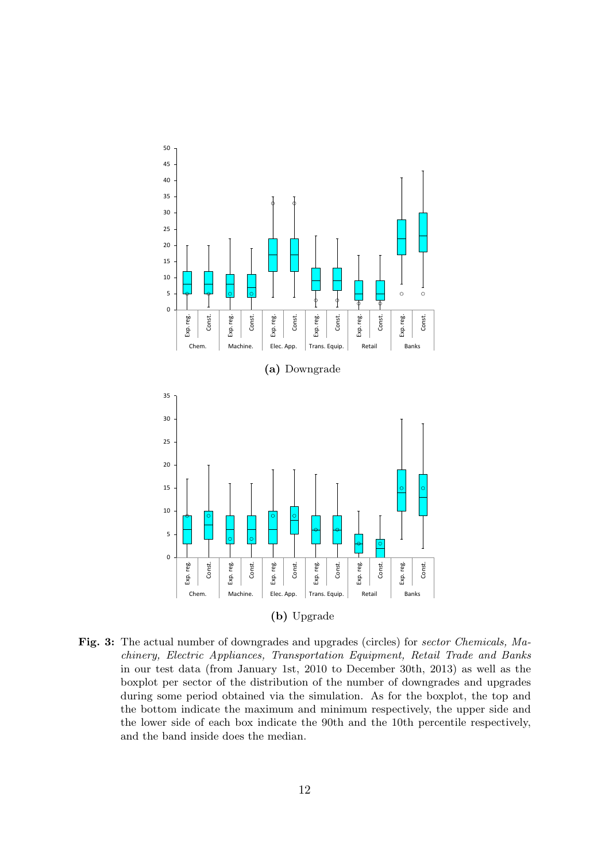

**Fig. 3:** The actual number of downgrades and upgrades (circles) for *sector Chemicals, Machinery, Electric Appliances, Transportation Equipment, Retail Trade and Banks* in our test data (from January 1st, 2010 to December 30th, 2013) as well as the boxplot per sector of the distribution of the number of downgrades and upgrades during some period obtained via the simulation. As for the boxplot, the top and the bottom indicate the maximum and minimum respectively, the upper side and the lower side of each box indicate the 90th and the 10th percentile respectively, and the band inside does the median.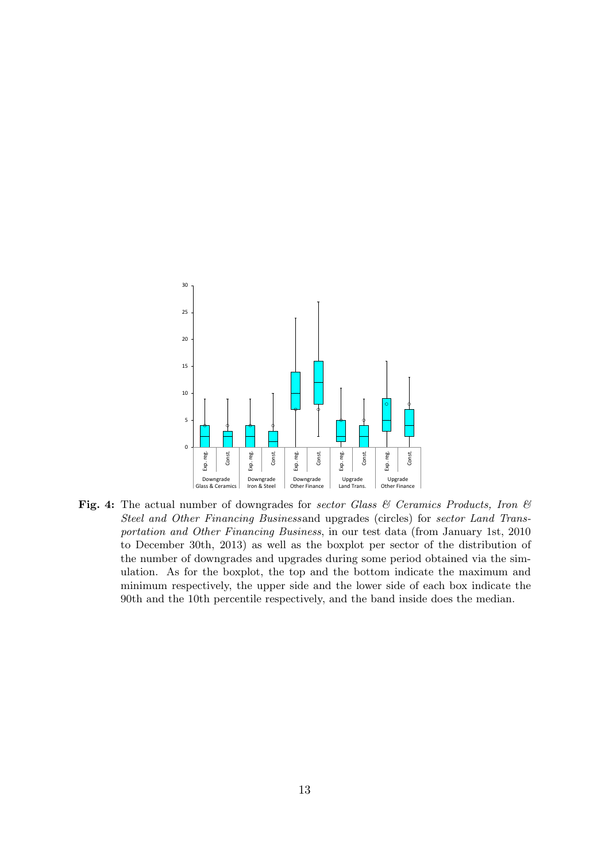

**Fig. 4:** The actual number of downgrades for *sector Glass & Ceramics Products, Iron & Steel and Other Financing Business*and upgrades (circles) for *sector Land Transportation and Other Financing Business*, in our test data (from January 1st, 2010 to December 30th, 2013) as well as the boxplot per sector of the distribution of the number of downgrades and upgrades during some period obtained via the simulation. As for the boxplot, the top and the bottom indicate the maximum and minimum respectively, the upper side and the lower side of each box indicate the 90th and the 10th percentile respectively, and the band inside does the median.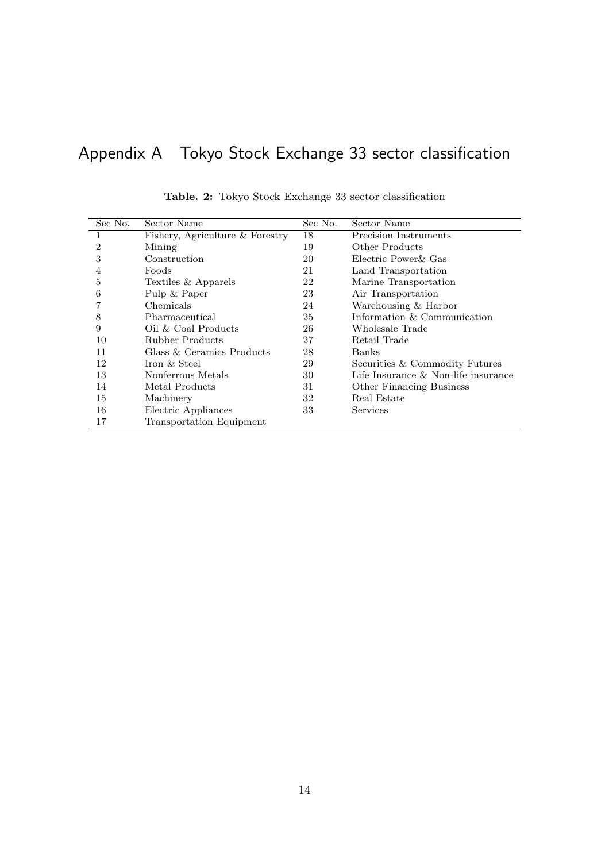# Appendix A Tokyo Stock Exchange 33 sector classification

| Sec No. | Sector Name                     | Sec No. | Sector Name                            |
|---------|---------------------------------|---------|----------------------------------------|
| 1       | Fishery, Agriculture & Forestry | 18      | Precision Instruments                  |
| 2       | Mining                          | 19      | Other Products                         |
| 3       | Construction                    | 20      | Electric Power & Gas                   |
| 4       | Foods                           | 21      | Land Transportation                    |
| 5       | Textiles & Apparels             | 22      | Marine Transportation                  |
| 6       | Pulp & Paper                    | 23      | Air Transportation                     |
|         | Chemicals                       | 24      | Warehousing & Harbor                   |
| 8       | Pharmaceutical                  | 25      | Information & Communication            |
| 9       | Oil & Coal Products             | 26      | Wholesale Trade                        |
| 10      | Rubber Products                 | 27      | Retail Trade                           |
| 11      | Glass & Ceramics Products       | 28      | Banks                                  |
| 12      | Iron & Steel                    | 29      | Securities & Commodity Futures         |
| 13      | Nonferrous Metals               | 30      | Life Insurance $\&$ Non-life insurance |
| 14      | Metal Products                  | 31      | Other Financing Business               |
| 15      | Machinery                       | 32      | Real Estate                            |
| 16      | Electric Appliances             | 33      | Services                               |
| 17      | <b>Transportation Equipment</b> |         |                                        |

|  |  |  |  |  |  |  | Table. 2: Tokyo Stock Exchange 33 sector classification |
|--|--|--|--|--|--|--|---------------------------------------------------------|
|--|--|--|--|--|--|--|---------------------------------------------------------|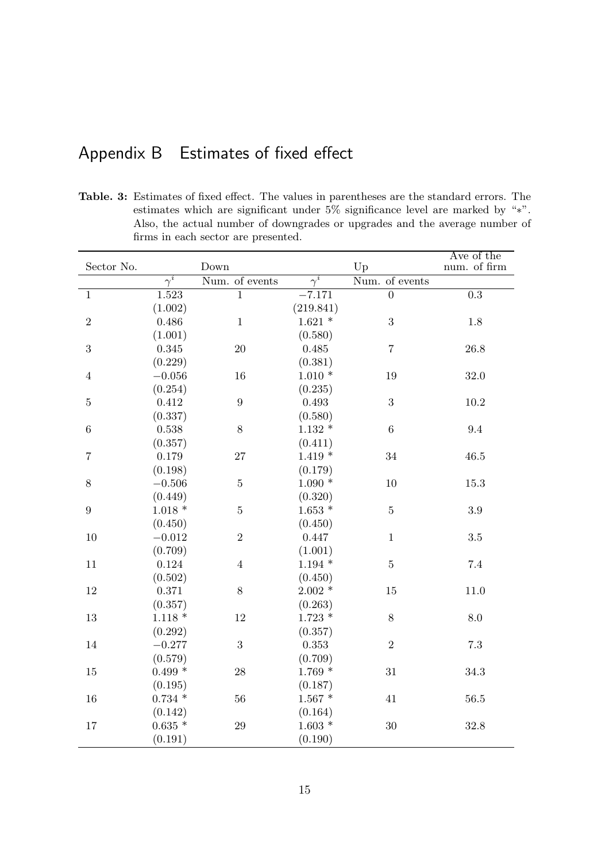# Appendix B Estimates of fixed effect

**Table. 3:** Estimates of fixed effect. The values in parentheses are the standard errors. The estimates which are significant under 5% significance level are marked by "*∗*". Also, the actual number of downgrades or upgrades and the average number of firms in each sector are presented.

|                |                       |                        |                       |                      | Ave of the       |
|----------------|-----------------------|------------------------|-----------------------|----------------------|------------------|
| Sector No.     | $\overline{\gamma^i}$ | Down<br>Num. of events | $\overline{\gamma^i}$ | Up<br>Num. of events | num. of firm     |
|                |                       |                        |                       |                      |                  |
| $\mathbf{1}$   | 1.523                 | $\mathbf{1}$           | $-7.171$              | $\overline{0}$       | $\overline{0.3}$ |
|                | (1.002)               |                        | (219.841)             |                      |                  |
| $\overline{2}$ | 0.486                 | $\mathbf{1}$           | $1.621$ *             | 3                    | $1.8\,$          |
|                | (1.001)               |                        | (0.580)               |                      |                  |
| 3              | 0.345                 | 20                     | 0.485                 | $\overline{7}$       | 26.8             |
|                | (0.229)               |                        | (0.381)               |                      |                  |
| $\overline{4}$ | $-0.056$              | 16                     | $1.010*$              | 19                   | 32.0             |
|                | (0.254)               |                        | (0.235)               |                      |                  |
| $\bf 5$        | 0.412                 | 9                      | 0.493                 | $\boldsymbol{3}$     | $10.2\,$         |
|                | (0.337)               |                        | (0.580)               |                      |                  |
| $\,6\,$        | 0.538                 | 8                      | $1.132 *$             | $\sqrt{6}$           | 9.4              |
|                | (0.357)               |                        | (0.411)               |                      |                  |
| $\overline{7}$ | 0.179                 | 27                     | $1.419*$              | 34                   | 46.5             |
|                | (0.198)               |                        | (0.179)               |                      |                  |
| $8\,$          | $-0.506$              | $\bf 5$                | $1.090*$              | 10                   | 15.3             |
|                | (0.449)               |                        | (0.320)               |                      |                  |
| $\overline{9}$ | $1.018*$              | $\overline{5}$         | $1.653$ $^{\ast}$     | $\overline{5}$       | 3.9              |
|                | (0.450)               |                        | (0.450)               |                      |                  |
| 10             | $-0.012$              | $\sqrt{2}$             | 0.447                 | $\mathbf{1}$         | $3.5\,$          |
|                | (0.709)               |                        | (1.001)               |                      |                  |
| 11             | 0.124                 | $\overline{4}$         | $1.194*$              | $\bf 5$              | $7.4\,$          |
|                | (0.502)               |                        | (0.450)               |                      |                  |
| $12\,$         | 0.371                 | $8\,$                  | $2.002*$              | 15                   | 11.0             |
|                | (0.357)               |                        | (0.263)               |                      |                  |
| $13\,$         | $1.118*$              | 12                     | $1.723$ *             | $8\,$                | 8.0              |
|                | (0.292)               |                        | (0.357)               |                      |                  |
| $14\,$         | $-0.277$              | 3                      | 0.353                 | $\sqrt{2}$           | $7.3\,$          |
|                | (0.579)               |                        | (0.709)               |                      |                  |
| $15\,$         | $0.499*$              | 28                     | $1.769*$              | 31                   | 34.3             |
|                | (0.195)               |                        | (0.187)               |                      |                  |
| $16\,$         | $0.734$ $^{\ast}$     | 56                     | $1.567$ *             | 41                   | $56.5\,$         |
|                | (0.142)               |                        | (0.164)               |                      |                  |
| 17             | $0.635*$              | $\sqrt{29}$            | $1.603*$              | 30                   | 32.8             |
|                | (0.191)               |                        | (0.190)               |                      |                  |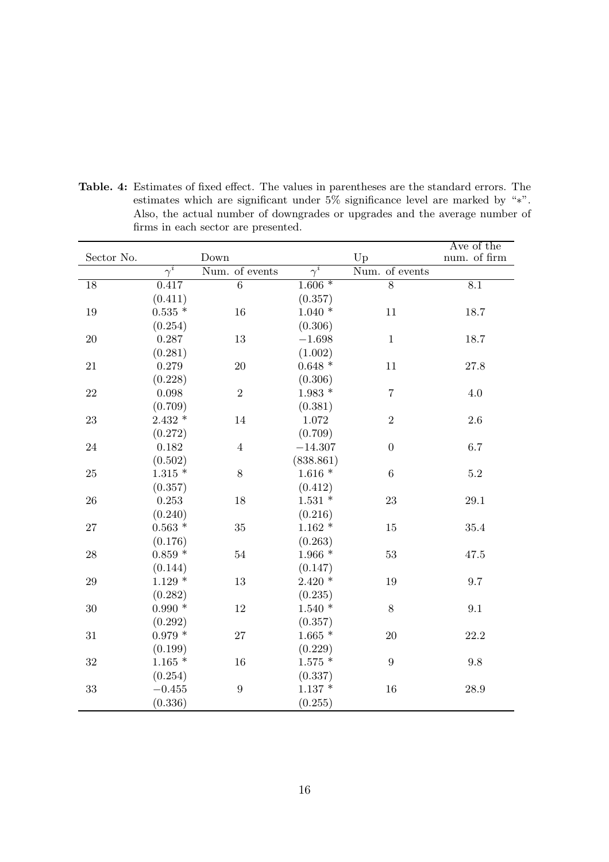|                 |                       |                  |                       |                  | Ave of the       |
|-----------------|-----------------------|------------------|-----------------------|------------------|------------------|
| Sector No.      |                       | Down             |                       | Up               | num. of firm     |
|                 | $\overline{\gamma^i}$ | Num. of events   | $\overline{\gamma}^i$ | Num. of events   |                  |
| $\overline{18}$ | 0.417                 | $\overline{6}$   | $1.606*$              | $\overline{8}$   | $\overline{8.1}$ |
|                 | (0.411)               |                  | (0.357)               |                  |                  |
| $19\,$          | $0.535$ *             | 16               | $1.040*$              | 11               | 18.7             |
|                 | (0.254)               |                  | (0.306)               |                  |                  |
| $20\,$          | 0.287                 | $13\,$           | $-1.698$              | $\mathbf{1}$     | 18.7             |
|                 | (0.281)               |                  | (1.002)               |                  |                  |
| 21              | 0.279                 | 20               | $0.648$ $^{\ast}$     | 11               | 27.8             |
|                 | (0.228)               |                  | (0.306)               |                  |                  |
| 22              | 0.098                 | $\overline{2}$   | $1.983$ *             | $\overline{7}$   | 4.0              |
|                 | (0.709)               |                  | (0.381)               |                  |                  |
| 23              | $2.432*$              | 14               | 1.072                 | $\overline{2}$   | 2.6              |
|                 | (0.272)               |                  | (0.709)               |                  |                  |
| 24              | 0.182                 | $\overline{4}$   | $-14.307$             | $\boldsymbol{0}$ | 6.7              |
|                 | (0.502)               |                  | (838.861)             |                  |                  |
| 25              | $1.315*$              | $8\,$            | $1.616*$              | $\,6\,$          | $5.2\,$          |
|                 | (0.357)               |                  | (0.412)               |                  |                  |
| ${\bf 26}$      | 0.253                 | 18               | $1.531$ *             | 23               | $29.1\,$         |
|                 | (0.240)               |                  | (0.216)               |                  |                  |
| 27              | $0.563$ $^{\ast}$     | 35               | $1.162*$              | 15               | 35.4             |
|                 | (0.176)               |                  | (0.263)               |                  |                  |
| 28              | $0.859$ $^{\ast}$     | 54               | $1.966*$              | 53               | 47.5             |
|                 | (0.144)               |                  | (0.147)               |                  |                  |
| 29              | $1.129*$              | 13               | $2.420*$              | 19               | 9.7              |
|                 | (0.282)               |                  | (0.235)               |                  |                  |
| 30              | $0.990*$              | 12               | $1.540*$              | 8                | 9.1              |
|                 | (0.292)               |                  | (0.357)               |                  |                  |
| 31              | $0.979*$              | 27               | $1.665*$              | 20               | 22.2             |
|                 | (0.199)               |                  | (0.229)               |                  |                  |
| 32              | $1.165*$              | 16               | $1.575$ *             | 9                | 9.8              |
|                 | (0.254)               |                  | (0.337)               |                  |                  |
| 33              | $-0.455$              | $\boldsymbol{9}$ | $1.137$ *             | 16               | 28.9             |
|                 | (0.336)               |                  | (0.255)               |                  |                  |

**Table. 4:** Estimates of fixed effect. The values in parentheses are the standard errors. The estimates which are significant under 5% significance level are marked by "*∗*". Also, the actual number of downgrades or upgrades and the average number of firms in each sector are presented.